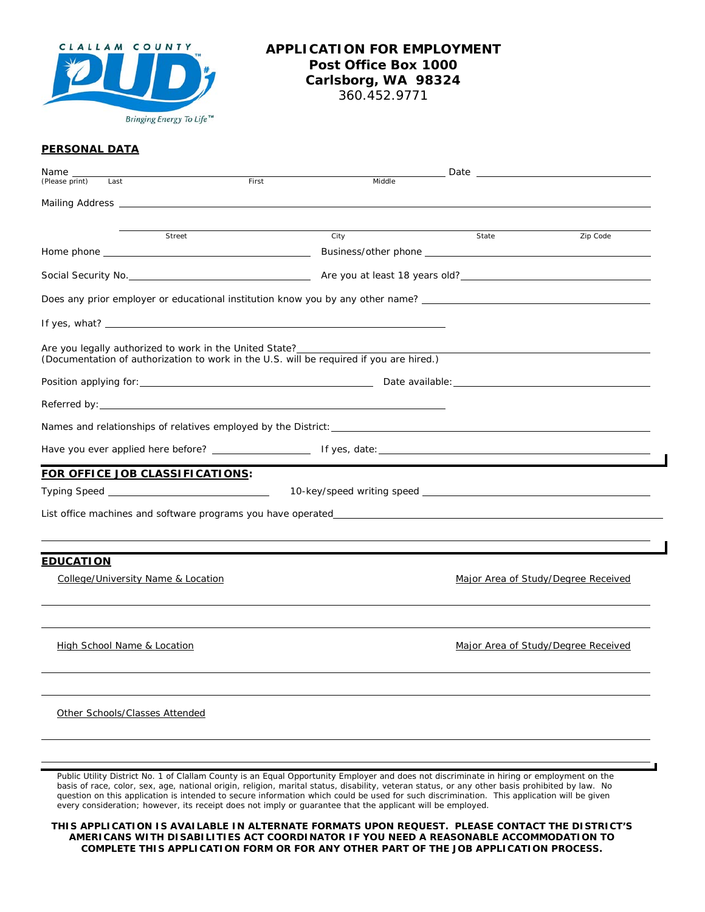

## **APPLICATION FOR EMPLOYMENT Post Office Box 1000 Carlsborg, WA 98324**

360.452.9771

#### **PERSONAL DATA**

| Name_                                                                                   |       |        |                                     | Date and the contract of the contract of the contract of the contract of the contract of the contract of the contract of the contract of the contract of the contract of the contract of the contract of the contract of the c |
|-----------------------------------------------------------------------------------------|-------|--------|-------------------------------------|--------------------------------------------------------------------------------------------------------------------------------------------------------------------------------------------------------------------------------|
| (Please print)<br>Last                                                                  | First | Middle |                                     |                                                                                                                                                                                                                                |
|                                                                                         |       |        |                                     |                                                                                                                                                                                                                                |
|                                                                                         |       |        |                                     |                                                                                                                                                                                                                                |
| Street                                                                                  |       | City   | State                               | Zip Code                                                                                                                                                                                                                       |
|                                                                                         |       |        |                                     |                                                                                                                                                                                                                                |
|                                                                                         |       |        |                                     |                                                                                                                                                                                                                                |
| Does any prior employer or educational institution know you by any other name?          |       |        |                                     |                                                                                                                                                                                                                                |
|                                                                                         |       |        |                                     |                                                                                                                                                                                                                                |
| (Documentation of authorization to work in the U.S. will be required if you are hired.) |       |        |                                     |                                                                                                                                                                                                                                |
|                                                                                         |       |        |                                     |                                                                                                                                                                                                                                |
|                                                                                         |       |        |                                     |                                                                                                                                                                                                                                |
|                                                                                         |       |        |                                     |                                                                                                                                                                                                                                |
|                                                                                         |       |        |                                     |                                                                                                                                                                                                                                |
| FOR OFFICE JOB CLASSIFICATIONS:                                                         |       |        |                                     |                                                                                                                                                                                                                                |
|                                                                                         |       |        |                                     |                                                                                                                                                                                                                                |
|                                                                                         |       |        |                                     |                                                                                                                                                                                                                                |
| <b>EDUCATION</b>                                                                        |       |        |                                     |                                                                                                                                                                                                                                |
| College/University Name & Location                                                      |       |        | Major Area of Study/Degree Received |                                                                                                                                                                                                                                |
| High School Name & Location                                                             |       |        | Major Area of Study/Degree Received |                                                                                                                                                                                                                                |
| Other Schools/Classes Attended                                                          |       |        |                                     |                                                                                                                                                                                                                                |
|                                                                                         |       |        |                                     |                                                                                                                                                                                                                                |
|                                                                                         |       |        |                                     |                                                                                                                                                                                                                                |

*Public Utility District No. 1 of Clallam County is an Equal Opportunity Employer and does not discriminate in hiring or employment on the basis of race, color, sex, age, national origin, religion, marital status, disability, veteran status, or any other basis prohibited by law. No question on this application is intended to secure information which could be used for such discrimination. This application will be given every consideration; however, its receipt does not imply or guarantee that the applicant will be employed.*

**THIS APPLICATION IS AVAILABLE IN ALTERNATE FORMATS UPON REQUEST. PLEASE CONTACT THE DISTRICT'S AMERICANS WITH DISABILITIES ACT COORDINATOR IF YOU NEED A REASONABLE ACCOMMODATION TO COMPLETE THIS APPLICATION FORM OR FOR ANY OTHER PART OF THE JOB APPLICATION PROCESS.**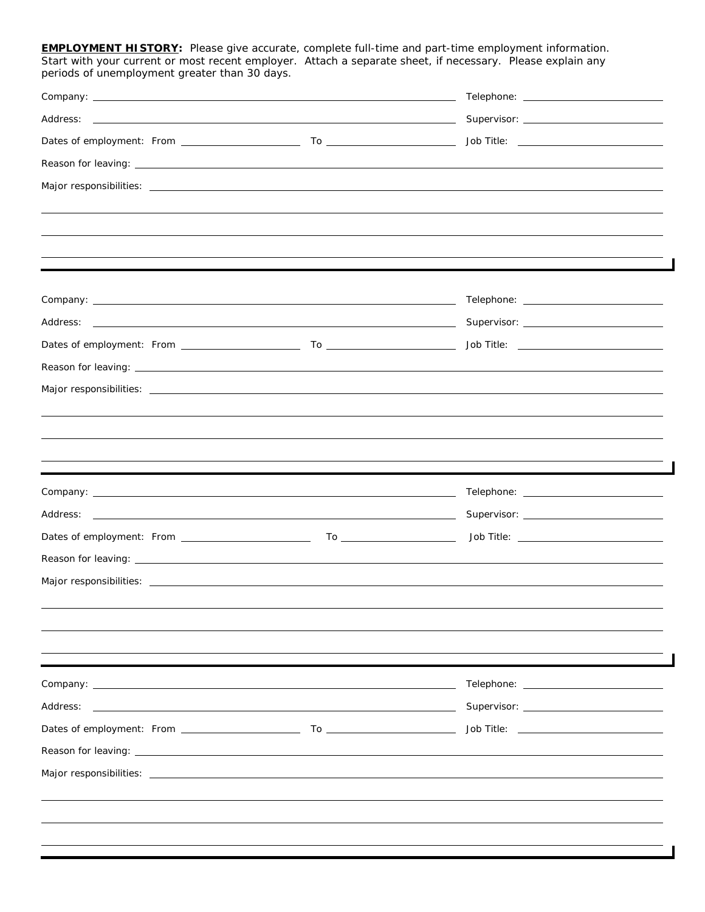**EMPLOYMENT HISTORY:** Please give accurate, complete full-time and part-time employment information. Start with your current or most recent employer. Attach a separate sheet, if necessary. Please explain any periods of unemployment greater than 30 days.

|                                                                                                                | Telephone: ________________________________                                                                                                                                                                                          |  |  |
|----------------------------------------------------------------------------------------------------------------|--------------------------------------------------------------------------------------------------------------------------------------------------------------------------------------------------------------------------------------|--|--|
|                                                                                                                |                                                                                                                                                                                                                                      |  |  |
|                                                                                                                |                                                                                                                                                                                                                                      |  |  |
| Reason for leaving: example and a series of the series of the series of the series of the series of the series |                                                                                                                                                                                                                                      |  |  |
|                                                                                                                |                                                                                                                                                                                                                                      |  |  |
|                                                                                                                |                                                                                                                                                                                                                                      |  |  |
|                                                                                                                |                                                                                                                                                                                                                                      |  |  |
|                                                                                                                |                                                                                                                                                                                                                                      |  |  |
|                                                                                                                |                                                                                                                                                                                                                                      |  |  |
|                                                                                                                |                                                                                                                                                                                                                                      |  |  |
|                                                                                                                |                                                                                                                                                                                                                                      |  |  |
|                                                                                                                |                                                                                                                                                                                                                                      |  |  |
|                                                                                                                |                                                                                                                                                                                                                                      |  |  |
|                                                                                                                |                                                                                                                                                                                                                                      |  |  |
|                                                                                                                |                                                                                                                                                                                                                                      |  |  |
|                                                                                                                |                                                                                                                                                                                                                                      |  |  |
|                                                                                                                |                                                                                                                                                                                                                                      |  |  |
|                                                                                                                | ,我们也不能会在这里,我们也不能会在这里,我们也不能会在这里,我们也不能会在这里,我们也不能会在这里,我们也不能会在这里,我们也不能会不能会不能会。""我们,我们                                                                                                                                                    |  |  |
|                                                                                                                |                                                                                                                                                                                                                                      |  |  |
|                                                                                                                |                                                                                                                                                                                                                                      |  |  |
|                                                                                                                |                                                                                                                                                                                                                                      |  |  |
|                                                                                                                |                                                                                                                                                                                                                                      |  |  |
|                                                                                                                |                                                                                                                                                                                                                                      |  |  |
|                                                                                                                |                                                                                                                                                                                                                                      |  |  |
|                                                                                                                |                                                                                                                                                                                                                                      |  |  |
|                                                                                                                |                                                                                                                                                                                                                                      |  |  |
| Company: the company of the company of the company of the company of the company of the company of the company |                                                                                                                                                                                                                                      |  |  |
|                                                                                                                |                                                                                                                                                                                                                                      |  |  |
|                                                                                                                | Job Title: <u>www.community.com and the series of the series of the series of the series of the series of the series of the series of the series of the series of the series of the series of the series of the series of the se</u> |  |  |
|                                                                                                                |                                                                                                                                                                                                                                      |  |  |
|                                                                                                                |                                                                                                                                                                                                                                      |  |  |
|                                                                                                                |                                                                                                                                                                                                                                      |  |  |
|                                                                                                                |                                                                                                                                                                                                                                      |  |  |
|                                                                                                                |                                                                                                                                                                                                                                      |  |  |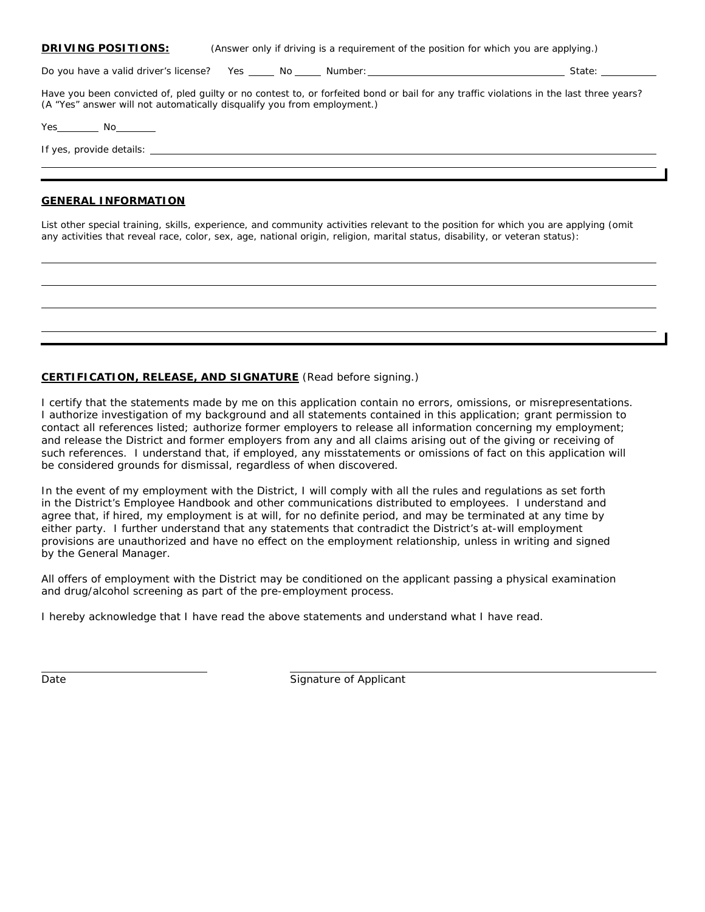Do you have a valid driver's license? Yes No Number: State:

Have you been convicted of, pled guilty or no contest to, or forfeited bond or bail for any traffic violations in the last three years? (A "Yes" answer will not automatically disqualify you from employment.)

Yes No

If yes, provide details:

#### **GENERAL INFORMATION**

List other special training, skills, experience, and community activities relevant to the position for which you are applying (omit any activities that reveal race, color, sex, age, national origin, religion, marital status, disability, or veteran status):

### **CERTIFICATION, RELEASE, AND SIGNATURE** (Read before signing.)

I certify that the statements made by me on this application contain no errors, omissions, or misrepresentations. I authorize investigation of my background and all statements contained in this application; grant permission to contact all references listed; authorize former employers to release all information concerning my employment; and release the District and former employers from any and all claims arising out of the giving or receiving of such references. I understand that, if employed, any misstatements or omissions of fact on this application will be considered grounds for dismissal, regardless of when discovered.

In the event of my employment with the District, I will comply with all the rules and regulations as set forth in the District's Employee Handbook and other communications distributed to employees. I understand and agree that, if hired, my employment is at will, for no definite period, and may be terminated at any time by either party. I further understand that any statements that contradict the District's at-will employment provisions are unauthorized and have no effect on the employment relationship, unless in writing and signed by the General Manager.

All offers of employment with the District may be conditioned on the applicant passing a physical examination and drug/alcohol screening as part of the pre-employment process.

I hereby acknowledge that I have read the above statements and understand what I have read.

Date **Signature of Applicant**